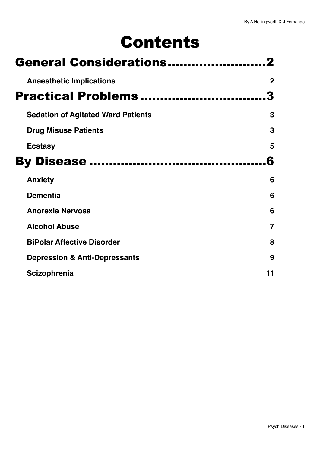# Contents

| <b>General Considerations</b>             |                |
|-------------------------------------------|----------------|
| <b>Anaesthetic Implications</b>           | $\mathbf 2$    |
| <b>Practical Problems</b>                 |                |
| <b>Sedation of Agitated Ward Patients</b> | 3              |
| <b>Drug Misuse Patients</b>               | 3              |
| <b>Ecstasy</b>                            | 5              |
| <b>By Disease </b>                        | Б              |
| <b>Anxiety</b>                            | 6              |
| <b>Dementia</b>                           | 6              |
| <b>Anorexia Nervosa</b>                   | 6              |
| <b>Alcohol Abuse</b>                      | $\overline{7}$ |
| <b>BiPolar Affective Disorder</b>         | 8              |
| <b>Depression &amp; Anti-Depressants</b>  | 9              |
| <b>Scizophrenia</b>                       | 11             |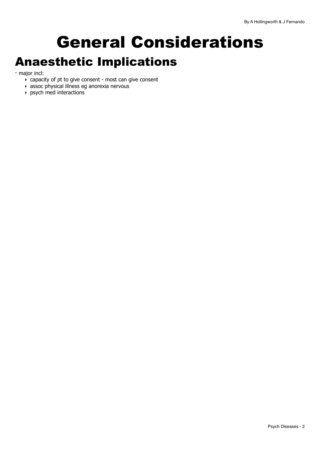# <span id="page-1-0"></span>General Considerations Anaesthetic Implications

<span id="page-1-1"></span>- major incl:

- $\overline{\phantom{a}}$  capacity of pt to give consent most can give consent
- ‣ assoc physical illness eg anorexia nervous
- ‣ psych med interactions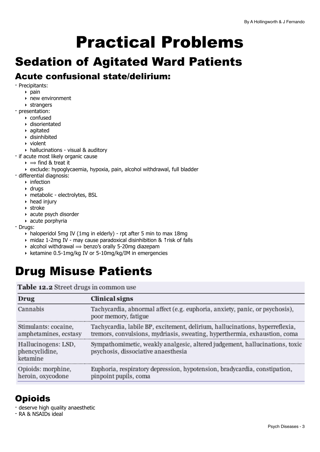# <span id="page-2-0"></span>Practical Problems

# <span id="page-2-1"></span>Sedation of Agitated Ward Patients

# Acute confusional state/delirium:

- Precipitants:
	- $\rightarrow$  pain
	- ‣ new environment
	- ‣ strangers
- presentation:
	- ‣ confused
	- ‣ disorientated
	- ‣ agitated
	- ‣ disinhibited
	- ‣ violent
- ‣ hallucinations visual & auditory
- if acute most likely organic cause
	- $\rightarrow$   $\Rightarrow$  find & treat it
- ‣ exclude: hypoglycaemia, hypoxia, pain, alcohol withdrawal, full bladder
- differential diagnosis:
	- $\rightarrow$  infection
	- ‣ drugs
	- ‣ metabolic electrolytes, BSL
	- ‣ head injury
	- ‣ stroke
	- ‣ acute psych disorder
	- $\rightarrow$  acute porphyria
- Drugs:
	- ‣ haloperidol 5mg IV (1mg in elderly) rpt after 5 min to max 18mg
	- ‣ midaz 1-2mg IV may cause paradoxical disinhibition & ↑risk of falls
	- $\rightarrow$  alcohol withdrawal  $\rightarrow$  benzo's orally 5-20mg diazepam
	- ‣ ketamine 0.5-1mg/kg IV or 5-10mg/kg/IM in emergencies

# <span id="page-2-2"></span>Drug Misuse Patients

Table 12.2 Street drugs in common use

| Drug                                              | Clinical signs                                                                                                                                            |
|---------------------------------------------------|-----------------------------------------------------------------------------------------------------------------------------------------------------------|
| Cannabis                                          | Tachycardia, abnormal affect (e.g. euphoria, anxiety, panic, or psychosis),<br>poor memory, fatigue                                                       |
| Stimulants: cocaine,<br>amphetamines, ecstasy     | Tachycardia, labile BP, excitement, delirium, hallucinations, hyperreflexia,<br>tremors, convulsions, mydriasis, sweating, hyperthermia, exhaustion, coma |
| Hallucinogens: LSD,<br>phencyclidine,<br>ketamine | Sympathomimetic, weakly analgesic, altered judgement, hallucinations, toxic<br>psychosis, dissociative anaesthesia                                        |
| Opioids: morphine,<br>heroin, oxycodone           | Euphoria, respiratory depression, hypotension, bradycardia, constipation,<br>pinpoint pupils, coma                                                        |

# **Opioids**

- deserve high quality anaesthetic
- RA & NSAIDs ideal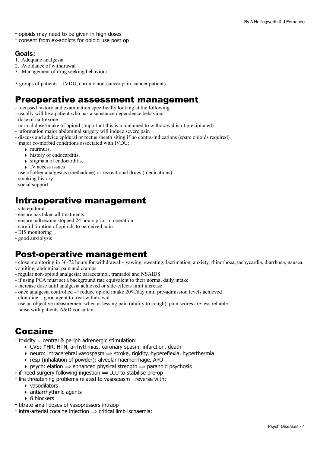- opioids may need to be given in high doses
- consent from ex-addicts for opioid use post op

#### **Goals:**

- 1. Adequate analgesia
- 2. Avoidance of withdrawal
- 3. Management of drug seeking behaviour
- 3 groups of patients IVDU, chronic non-cancer pain, cancer patients

## Preoperative assessment management

- focussed history and examination specifically looking at the following:
- usually will be a patient who has a substance dependence behaviour
- dose of naltrexone
- normal dose/intake of opioid (important this is maintained to withdrawal isn't precipitated)
- information major abdominal surgery will induce severe pain
- discuss and advice epidural or rectus sheath siting if no contra-indications (spare opioids required)
- major co-morbid conditions associated with IVDU:
	- $\blacktriangleright$  murmurs,
	- $\rightarrow$  history of endocarditis,
	- $\rightarrow$  stigmata of endocarditis,
	- $\rightarrow$  IV access issues
- use of other analgesics (methadone) or recreational drugs (medications)
- smoking history
- social support

## Intraoperative management

- site epidural
- ensure has taken all treatments
- ensure naltrexone stopped 24 hours prior to operation
- careful titration of opioids to perceived pain
- BIS monitoring
- good anxiolysis

## Post-operative management

- close monitoring in 36-72 hours for withdrawal – yawing, sweating, lacrimation, anxiety, rhinorhoea, tachycardia, diarrhoea, nausea, vomiting, abdominal pain and cramps.

- regular non-opioid analgesia: paracetamol, tramadol and NSAIDS
- if using PCA must set a background rate equivalent to their normal daily intake
- increase dose until analgesia achieved or side-effects limit increase
- once analgesia controlled -> reduce opioid intake 20%/day until pre-admission levels achieved
- clonidine = good agent to treat withdrawal
- use an objective measurement when assessing pain (ability to cough), pain scores are less reliable
- liaise with patients A&D consultant

# Cocaine

- toxicity = central & periph adrenergic stimulation:
	- ‣ CVS: ↑HR, HTN, arrhythmias, coronary spasm, infarction, death
	- $\rightarrow$  neuro: intracerebral vasospasm  $\rightarrow$  stroke, rigidity, hypereflexia, hyperthermia
	- ‣ resp (inhalation of powder): alveolar haemorrhage, APO
	- **psych:** elation  $\Rightarrow$  enhanced physical strength  $\Rightarrow$  paranoid psychosis
- if need surgery following ingestion  $\Rightarrow$  ICU to stabilise pre-op
- life threatening problems related to vasospasm reverse with:
	- ‣ vasodilators
	- ‣ antiarrhythmic agents
	- ‣ ß blockers
- titrate small doses of vasopressors intraop
- $-$  intra-arterial cocaine injection  $\Rightarrow$  critical limb ischaemia: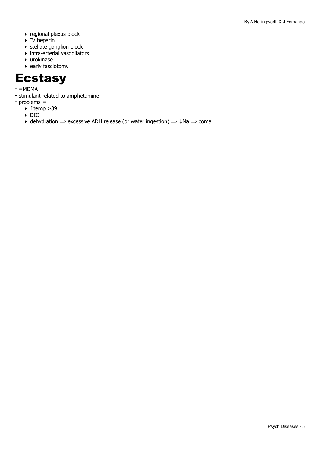- ‣ regional plexus block
- $\triangleright$  IV heparin
- ‣ stellate ganglion block
- ‣ intra-arterial vasodilators
- ‣ urokinase
- ‣ early fasciotomy

# <span id="page-4-0"></span>**Ecstasy**

- $=MDMA$
- stimulant related to amphetamine
- problems =
	- ‣ ↑temp >39
		- ‣ DIC
		- $\rightarrow$  dehydration  $\rightarrow$  excessive ADH release (or water ingestion)  $\rightarrow$  4Na  $\rightarrow$  coma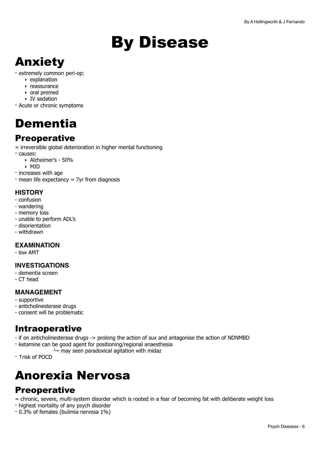# <span id="page-5-0"></span>By Disease

# <span id="page-5-1"></span>Anxiety

- extremely common peri-op:
	- ‣ explanation
	- ‣ reassurance
	- ‣ oral premed
	- ‣ IV sedation
- Acute or chronic symptoms

# <span id="page-5-2"></span>Dementia

# **Preoperative**

= irreversible global deterioration in higher mental functioning

- causes:
	- ‣ Alzheimer's 50%
- ‣ MID
- increases with age
- mean life expectancy = 7yr from diagnosis

#### **HISTORY**

- confusion
- wandering
- memory loss
- unable to perform ADL's
- disorientation
- withdrawn

#### **EXAMINATION**

- low AMT

#### **INVESTIGATIONS**

- dementia screen
- CT head

#### **MANAGEMENT**

- supportive
- anticholinesterase drugs
- consent will be problematic

## Intraoperative

- if on anticholinesterase drugs -> prolong the action of sux and antagonise the action of NDNMBD
- ketamine can be good agent for positioning/regional anaesthesia
	- $\mapsto$  may seen paradoxical agitation with midaz
- ↑risk of POCD

# <span id="page-5-3"></span>Anorexia Nervosa

# **Preoperative**

= chronic, severe, multi-system disorder which is rooted in a fear of becoming fat with deliberate weight loss

- highest mortality of any psych disorder
- 0.3% of females (bulimia nervosa 1%)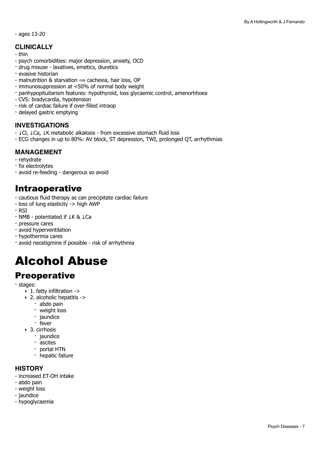- ages 13-20

#### **CLINICALLY**

- thin
- psych comorbidities: major depression, anxiety, OCD
- drug misuse laxatives, emetics, diuretics
- evasive historian
- malnutrition & starvation  $\Rightarrow$  cachexia, hair loss, OP
- immunosuppression at <50% of normal body weight
- panhypopituitarism features: hypothyroid, loss glycaemic control, amenorhhoea
- CVS: bradycardia, hypotension
- risk of cardiac failure if over-filled intraop
- delayed gastric emptying

#### **INVESTIGATIONS**

- ↓Cl, ↓Ca, ↓K metabolic alkalosis from excessive stomach fluid loss
- ECG changes in up to 80%: AV block, ST depression, TWI, prolonged QT, arrhythmias

#### **MANAGEMENT**

- rehydrate
- fix electrolytes
- avoid re-feeding dangerous so avoid

### Intraoperative

- cautious fluid therapy as can precipitate cardiac failure
- loss of lung elasticity -> high AWP
- RSI
- NMB potentiated if ↓K & ↓Ca
- pressure cares
- avoid hyperventilation
- hypothermia cares
- avoid neostigmine if possible risk of arrhythmia

# <span id="page-6-0"></span>Alcohol Abuse

## **Preoperative**

- stages:
	- ‣ 1. fatty infiltration ->
	- ‣ 2. alcoholic hepatitis ->
		- abdo pain
		- weight loss
		- jaundice
		- fever
	- ‣ 3. cirrhosis
		- jaundice
		- ascites
		- portal HTN
		- hepatic failure

#### **HISTORY**

- increased ET-OH intake
- abdo pain
- weight loss
- jaundice
- hypoglycaemia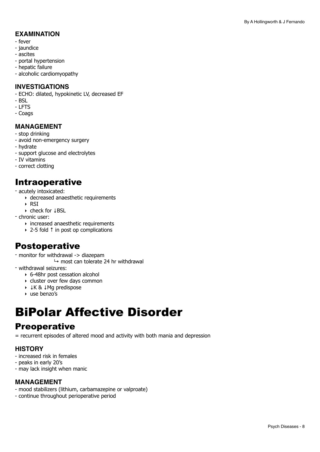#### **EXAMINATION**

- fever
- jaundice
- ascites
- portal hypertension
- hepatic failure
- alcoholic cardiomyopathy

#### **INVESTIGATIONS**

- ECHO: dilated, hypokinetic LV, decreased EF
- BSL
- LFTS
- Coags

#### **MANAGEMENT**

- stop drinking
- avoid non-emergency surgery
- hydrate
- support glucose and electrolytes
- IV vitamins
- correct clotting

### Intraoperative

- acutely intoxicated:
	- ‣ decreased anaesthetic requirements
	- ‣ RSI
	- ‣ check for ↓BSL
- chronic user:
	- ‣ increased anaesthetic requirements
	- ‣ 2-5 fold ↑ in post op complications

## Postoperative

- monitor for withdrawal -> diazepam
- $\mapsto$  most can tolerate 24 hr withdrawal
- withdrawal seizures:
	- ‣ 6-48hr post cessation alcohol
	- ‣ cluster over few days common
	- ‣ ↓K & ↓Mg predispose
	- ‣ use benzo's

# <span id="page-7-0"></span>BiPolar Affective Disorder

### **Preoperative**

= recurrent episodes of altered mood and activity with both mania and depression

#### **HISTORY**

- increased risk in females
- peaks in early 20's
- may lack insight when manic

#### **MANAGEMENT**

- mood stabilizers (lithium, carbamazepine or valproate)
- continue throughout perioperative period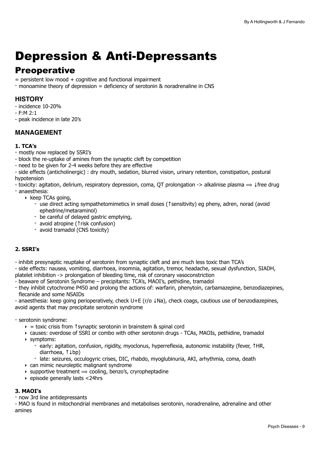# <span id="page-8-0"></span>Depression & Anti-Depressants

## **Preoperative**

 $=$  persistent low mood  $+$  cognitive and functional impairment

- monoamine theory of depression = deficiency of serotonin & noradrenaline in CNS

#### **HISTORY**

- incidence 10-20%

- F:M 2:1

- peak incidence in late 20's

#### **MANAGEMENT**

#### **1. TCA's**

- mostly now replaced by SSRI's

- block the re-uptake of amines from the synaptic cleft by competition
- need to be given for 2-4 weeks before they are effective
- side effects (anticholinergic) : dry mouth, sedation, blurred vision, urinary retention, constipation, postural hypotension
- toxicity: agitation, delirium, respiratory depression, coma, QT prolongation -> alkalinise plasma ⟹ ↓free drug - anaesthesia:
	- ‣ keep TCAs going,
		- use direct acting sympathetomimetics in small doses (↑sensitivity) eg pheny, adren, norad (avoid ephedrine/metaraminol)
		- be careful of delayed gastric emptying,
		- avoid atropine (↑risk confusion)
		- avoid tramadol (CNS toxicity)

#### **2. SSRI's**

- inhibit presynaptic reuptake of serotonin from synaptic cleft and are much less toxic than TCA's

- side effects: nausea, vomiting, diarrhoea, insomnia, agitation, tremor, headache, sexual dysfunction, SIADH,
- platelet inhibition -> prolongation of bleeding time, risk of coronary vasoconstriction
- beaware of Serotonin Syndrome precipitants: TCA's, MAOI's, pethidine, tramadol
- they inhibit cytochrome P450 and prolong the actions of: warfarin, phenytoin, carbamazepine, benzodiazepines, flecanide and some NSAIDs

- anaesthesia: keep going perioperatively, check U+E (r/o ↓Na), check coags, cautious use of benzodiazepines, avoid agents that may precipitate serotonin syndrome

#### - serotonin syndrome:

- $\rightarrow$  = toxic crisis from 1 synaptic serotonin in brainstem & spinal cord
- ‣ causes: overdose of SSRI or combo with other serotonin drugs TCAs, MAOIs, pethidine, tramadol ‣ symptoms:
	- early: agitation, confusion, rigidity, myoclonus, hyperreflexia, autonomic instability (fever, ↑HR, diarrhoea, ↑↓bp)
	- late: seizures, occulogyric crises, DIC, rhabdo, myoglubinuria, AKI, arhythmia, coma, death
- ‣ can mimic neuroleptic malignant syndrome
- $\rightarrow$  supportive treatment  $\rightarrow$  cooling, benzo's, cryropheptadine
- ‣ episode generally lasts <24hrs

#### **3. MAOI's**

- now 3rd line antidepressants

- MAO is found in mitochondrial membranes and metabolises serotonin, noradrenaline, adrenaline and other amines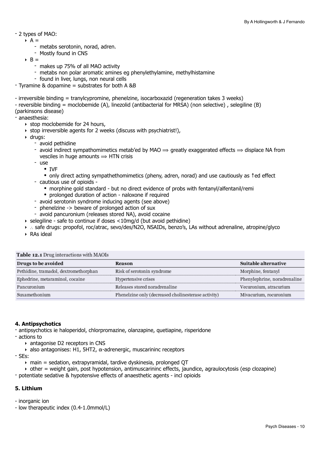#### - 2 types of MAO:

- $\rightarrow$  A =
	- metabs serotonin, norad, adren.
	- Mostly found in CNS
- $\rightarrow$  B =
	- makes up 75% of all MAO activity
	- metabs non polar aromatic amines eg phenylethylamine, methylhistamine
	- found in liver, lungs, non neural cells
- $-$  Tyramine & dopamine = substrates for both A &B
- irreversible binding = tranylcypromine, phenelzine, isocarboxazid (regeneration takes 3 weeks)
- reversible binding = moclobemide (A), linezolid (antibacterial for MRSA) (non selective) , selegiline (B)
- (parkinsons disease)

- anaesthesia:

- ‣ stop moclobemide for 24 hours,
- ‣ stop irreversible agents for 2 weeks (discuss with psychiatrist!),
- ‣ drugs:
	- avoid pethidine
	- avoid indirect sympathomimetics metab'ed by MAO  $\Rightarrow$  greatly exaggerated effects  $\Rightarrow$  displace NA from vesciles in huge amounts  $\Rightarrow$  HTN crisis
	- use
		- IVF
		- only direct acting sympathethomimetics (pheny, adren, norad) and use cautiously as ↑ed effect
	- cautious use of opioids
		- morphine gold standard but no direct evidence of probs with fentanyl/alfentanil/remi
		- prolonged duration of action naloxone if required
	- avoid serotonin syndrome inducing agents (see above)
	- phenelzine -> beware of prolonged action of sux
	- avoid pancuronium (releases stored NA), avoid cocaine
- $\rightarrow$  selegiline safe to continue if doses  $\leq$ 10mg/d (but avoid pethidine)
- ‣ ∴ safe drugs: propofol, roc/atrac, sevo/des/N2O, NSAIDs, benzo's, LAs without adrenaline, atropine/glyco
- ‣ RAs ideal

| <b>TUDIC TEST DING MULTIUM MAIN MAIN MAIL</b> |                                                     |                              |  |
|-----------------------------------------------|-----------------------------------------------------|------------------------------|--|
| Drugs to be avoided                           | Reason                                              | Suitable alternative         |  |
| Pethidine, tramadol, dextromethorphan         | Risk of serotonin syndrome                          | Morphine, fentanyl           |  |
| Ephedrine, metaraminol, cocaine               | Hypertensive crises                                 | Phenylephrine, noradrenaline |  |
| Pancuronium                                   | Releases stored noradrenaline                       | Vecuronium, atracurium       |  |
| Suxamethonium                                 | Phenelzine only (decreased cholinesterase activity) | Mivacurium, rocuronium       |  |

#### Table to a Drug interestions with MAOIs

#### **4. Antipsychotics**

- antipsychotics ie haloperidol, chlorpromazine, olanzapine, quetiapine, risperidone

- actions to
	- ‣ antagonise D2 receptors in CNS
	- $\rightarrow$  also antagonises: H1, 5HT2,  $\alpha$ -adrenergic, muscarininc receptors

- SEs:

- $\rightarrow$  main = sedation, extrapyramidal, tardive dyskinesia, prolonged QT
- ‣ other = weight gain, post hypotension, antimuscarininc effects, jaundice, agraulocytosis (esp clozapine)
- potentiate sedative & hypotensive effects of anaesthetic agents incl opioids

#### **5. Lithium**

- inorganic ion
- low therapeutic index (0.4-1.0mmol/L)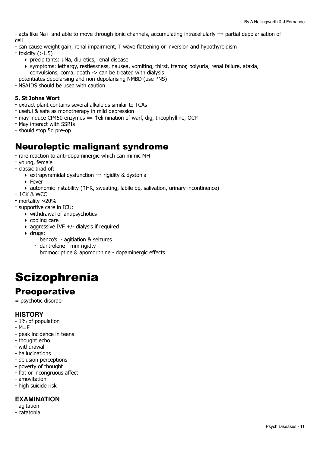- acts like Na+ and able to move through ionic channels, accumulating intracellularly  $\Rightarrow$  partial depolarisation of cell

- can cause weight gain, renal impairment, T wave flattening or inversion and hypothyroidism
- $-$  toxicity  $(>1.5)$ 
	- ‣ precipitants: ↓Na, diuretics, renal disease
	- ‣ symptoms: lethargy, restlessness, nausea, vomiting, thirst, tremor, polyuria, renal failure, ataxia, convulsions, coma, death -> can be treated with dialysis
- potentiates depolarsing and non-depolarising NMBD (use PNS)
- NSAIDS should be used with caution

#### **5. St Johns Wort**

- extract plant contains several alkaloids similar to TCAs
- useful & safe as monotherapy in mild depression
- $-$  may induce CP450 enzymes  $\Rightarrow$   $\uparrow$  elimination of warf, dig, theophylline, OCP
- May interact with SSRIs
- should stop 5d pre-op

## Neuroleptic malignant syndrome

- rare reaction to anti-dopaminergic which can mimic MH
- young, female
- classic triad of:
	- $\rightarrow$  extrapyramidal dysfunction  $\rightarrow$  rigidity & dystonia
	- ‣ Fever
	- ‣ autonomic instability (↑HR, sweating, labile bp, salivation, urinary incontinence)
- ↑CK & WCC
- mortality ~20%
- supportive care in ICU:
	- ‣ withdrawal of antipsychotics
	- ‣ cooling care
	- $\rightarrow$  aggressive IVF +/- dialysis if required
	- ‣ drugs:
		- benzo's agitiation & seizures
		- dantrolene mm rigidty
		- bromocriptine & apomorphine dopaminergic effects

# <span id="page-10-0"></span>**Scizophrenia**

### **Preoperative**

= psychotic disorder

#### **HISTORY**

- 1% of population
- $-M=F$
- peak incidence in teens
- thought echo
- withdrawal
- hallucinations
- delusion perceptions
- poverty of thought
- flat or incongruous affect
- amovitation
- high suicide risk

#### **EXAMINATION**

- agitation
- catatonia